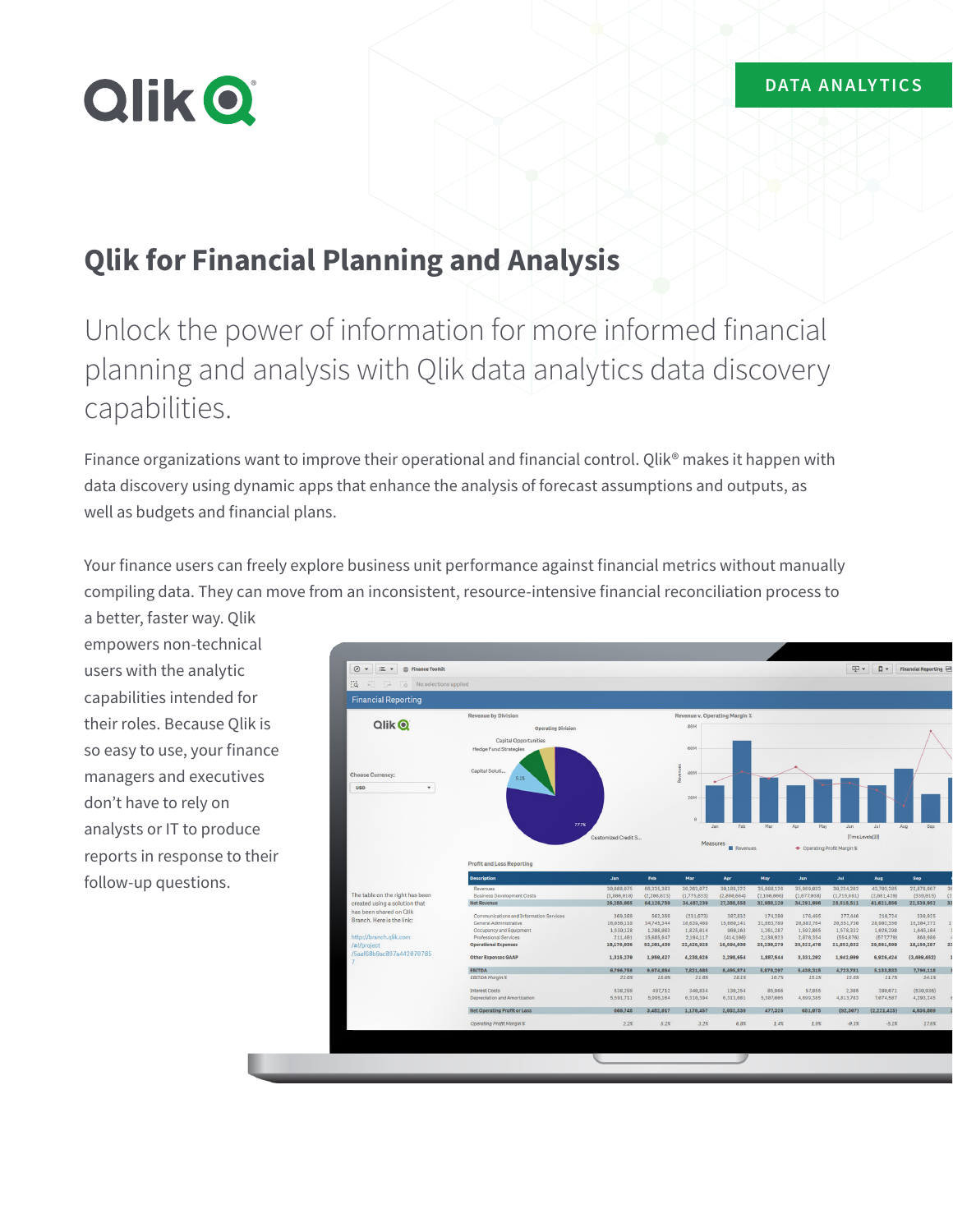# **Qlik O**

## **Qlik for Financial Planning and Analysis**

Unlock the power of information for more informed financial planning and analysis with Qlik data analytics data discovery capabilities.

Finance organizations want to improve their operational and financial control. Qlik® makes it happen with data discovery using dynamic apps that enhance the analysis of forecast assumptions and outputs, as well as budgets and financial plans.

Your finance users can freely explore business unit performance against financial metrics without manually compiling data. They can move from an inconsistent, resource-intensive financial reconciliation process to

a better, faster way. Qlik empowers non-technical users with the analytic capabilities intended for their roles. Because Qlik is so easy to use, your finance managers and executives don't have to rely on analysts or IT to produce reports in response to their follow-up questions.